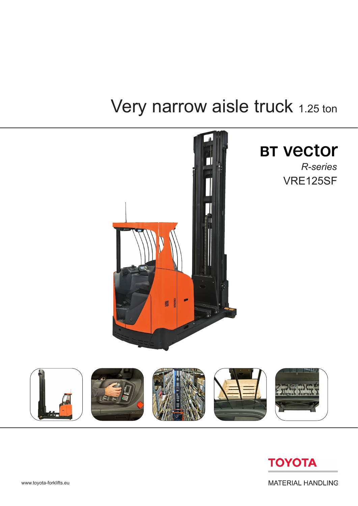# Very narrow aisle truck 1.25 ton





**MATERIAL HANDLING**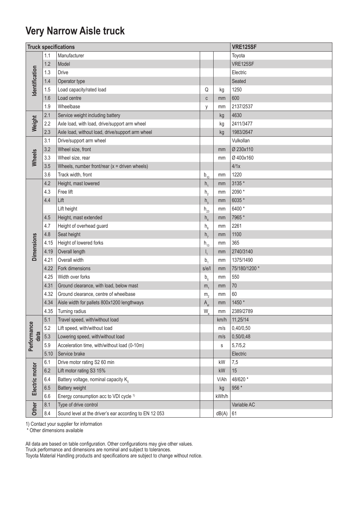### **Very Narrow Aisle truck**

|                                       |      | <b>Truck specifications</b>                            |                 | <b>VRE125SF</b> |               |  |  |  |
|---------------------------------------|------|--------------------------------------------------------|-----------------|-----------------|---------------|--|--|--|
|                                       | 1.1  | Manufacturer                                           |                 |                 | Toyota        |  |  |  |
| Identification                        | 1.2  | Model                                                  |                 |                 | VRE125SF      |  |  |  |
|                                       | 1.3  | <b>Drive</b>                                           |                 |                 | Electric      |  |  |  |
|                                       | 1.4  | Operator type                                          |                 |                 | Seated        |  |  |  |
|                                       | 1.5  | Load capacity/rated load                               | Q               | kg              | 1250          |  |  |  |
|                                       | 1.6  | Load centre                                            | C               | mm              | 600           |  |  |  |
|                                       | 1.9  | Wheelbase                                              | у               | mm              | 2137/2537     |  |  |  |
| Weight                                | 2.1  | Service weight including battery                       |                 | kg              | 4630          |  |  |  |
|                                       | 2.2  | Axle load, with load, drive/support arm wheel          |                 | kg              | 2411/3477     |  |  |  |
|                                       | 2.3  | Axle load, without load, drive/support arm wheel       |                 | kg              | 1983/2647     |  |  |  |
|                                       | 3.1  | Drive/support arm wheel                                |                 |                 | Vulkollan     |  |  |  |
|                                       | 3.2  | Wheel size, front                                      |                 | mm              | Ø 230x110     |  |  |  |
| Wheels                                | 3.3  | Wheel size, rear                                       |                 | mm              | Ø 400x160     |  |  |  |
|                                       | 3.5  | Wheels, number front/rear $(x =$ driven wheels)        |                 |                 | 4/1x          |  |  |  |
|                                       | 3.6  | Track width, front                                     | $b_{10}$        | mm              | 1220          |  |  |  |
|                                       | 4.2  | Height, mast lowered                                   | $h_{1}$         | mm              | 3135 *        |  |  |  |
|                                       | 4.3  | Free lift                                              | h <sub>2</sub>  | mm              | 2090 *        |  |  |  |
|                                       | 4.4  | Lift                                                   | h <sub>3</sub>  | mm              | 6035 *        |  |  |  |
|                                       |      | Lift height                                            | $h_{23}$        | mm              | 6400*         |  |  |  |
|                                       | 4.5  | Height, mast extended                                  | $h_a$           | mm              | 7965 *        |  |  |  |
|                                       | 4.7  | Height of overhead guard                               | $h_{6}$         | mm              | 2261          |  |  |  |
|                                       | 4.8  | Seat height                                            | h <sub>7</sub>  | mm              | 1100          |  |  |  |
|                                       | 4.15 | Height of lowered forks                                | $h_{13}$        | mm              | 365           |  |  |  |
| <b>Dimensions</b>                     | 4.19 | Overall length                                         | $I_{1}$         | mm              | 2740/3140     |  |  |  |
|                                       | 4.21 | Overall width                                          | $b_{1}$         | mm              | 1375/1490     |  |  |  |
|                                       | 4.22 | Fork dimensions                                        | s/e/l           | mm              | 75/180/1200 * |  |  |  |
|                                       | 4.25 | Width over forks                                       | b <sub>5</sub>  | mm              | 550           |  |  |  |
|                                       | 4.31 | Ground clearance, with load, below mast                | m <sub>1</sub>  | mm              | $70\,$        |  |  |  |
|                                       | 4.32 | Ground clearance, centre of wheelbase                  | m <sub>2</sub>  | mm              | 60            |  |  |  |
|                                       | 4.34 | Aisle width for pallets 800x1200 lengthways            | A <sub>st</sub> | mm              | 1450 *        |  |  |  |
|                                       | 4.35 | Turning radius                                         | $W_a$           | mm              | 2389/2789     |  |  |  |
|                                       | 5.1  | Travel speed, with/without load                        |                 | km/h            | 11,25/14      |  |  |  |
|                                       | 5.2  | Lift speed, with/without load                          |                 | m/s             | 0,40/0,50     |  |  |  |
| Performance<br>data<br>Electric motor | 5.3  | Lowering speed, with/without load                      |                 | m/s             | 0,50/0,48     |  |  |  |
|                                       | 5.9  | Acceleration time, with/without load (0-10m)           |                 | s               | 5,7/5,2       |  |  |  |
|                                       | 5.10 | Service brake                                          |                 |                 | Electric      |  |  |  |
|                                       | 6.1  | Drive motor rating S2 60 min                           |                 | kW              | 7,5           |  |  |  |
|                                       | 6.2  | Lift motor rating S3 15%                               |                 | kW              | 15            |  |  |  |
|                                       | 6.4  | Battery voltage, nominal capacity $K_{5}$              |                 | V/Ah            | 48/620 *      |  |  |  |
|                                       | 6.5  | <b>Battery weight</b>                                  |                 | kg              | 956 *         |  |  |  |
|                                       | 6.6  | Energy consumption acc to VDI cycle <sup>1)</sup>      |                 | kWh/h           |               |  |  |  |
| Other                                 | 8.1  | Type of drive control                                  |                 |                 | Variable AC   |  |  |  |
|                                       | 8.4  | Sound level at the driver's ear according to EN 12 053 |                 | dB(A)           | 61            |  |  |  |

1) Contact your supplier for information

\* Other dimensions available

All data are based on table configuration. Other configurations may give other values.

Truck performance and dimensions are nominal and subject to tolerances.

Toyota Material Handling products and specifications are subject to change without notice.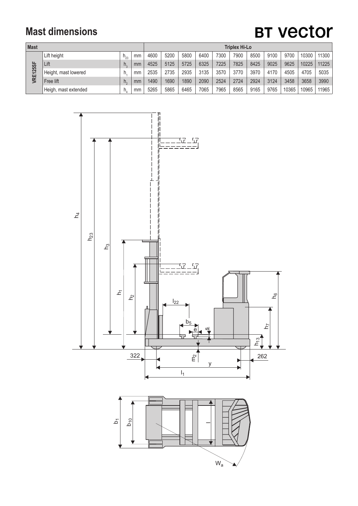### **Mast dimensions**

# **BT Vector**

| <b>Mast</b>     |                      |    |    | <b>Triplex Hi-Lo</b> |      |      |      |      |      |      |      |       |       |       |
|-----------------|----------------------|----|----|----------------------|------|------|------|------|------|------|------|-------|-------|-------|
| <b>VRE125SF</b> | Lift height          |    | mm | 4600                 | 5200 | 5800 | 6400 | 7300 | 7900 | 8500 | 9100 | 9700  | 10300 | 11300 |
|                 | Lift                 | h. | mm | 4525                 | 5125 | 5725 | 6325 | 7225 | 7825 | 8425 | 9025 | 9625  | 10225 | 11225 |
|                 | Height, mast lowered | h  | mm | 2535                 | 2735 | 2935 | 3135 | 3570 | 3770 | 3970 | 4170 | 4505  | 4705  | 5035  |
|                 | Free lift            | h. | mm | 1490                 | 1690 | 1890 | 2090 | 2524 | 2724 | 2924 | 3124 | 3458  | 3658  | 3990  |
|                 | Heigh, mast extended |    | mm | 5265                 | 5865 | 6465 | 7065 | 7965 | 8565 | 9165 | 9765 | 10365 | 10965 | 11965 |